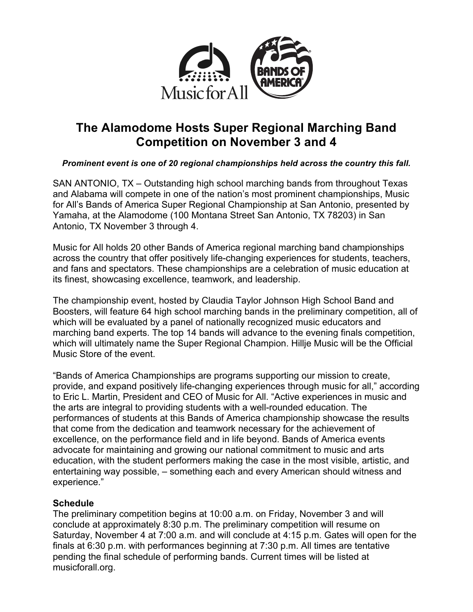

# **The Alamodome Hosts Super Regional Marching Band Competition on November 3 and 4**

## *Prominent event is one of 20 regional championships held across the country this fall.*

SAN ANTONIO, TX – Outstanding high school marching bands from throughout Texas and Alabama will compete in one of the nation's most prominent championships, Music for All's Bands of America Super Regional Championship at San Antonio, presented by Yamaha, at the Alamodome (100 Montana Street San Antonio, TX 78203) in San Antonio, TX November 3 through 4.

Music for All holds 20 other Bands of America regional marching band championships across the country that offer positively life-changing experiences for students, teachers, and fans and spectators. These championships are a celebration of music education at its finest, showcasing excellence, teamwork, and leadership.

The championship event, hosted by Claudia Taylor Johnson High School Band and Boosters, will feature 64 high school marching bands in the preliminary competition, all of which will be evaluated by a panel of nationally recognized music educators and marching band experts. The top 14 bands will advance to the evening finals competition, which will ultimately name the Super Regional Champion. Hillje Music will be the Official Music Store of the event.

"Bands of America Championships are programs supporting our mission to create, provide, and expand positively life-changing experiences through music for all," according to Eric L. Martin, President and CEO of Music for All. "Active experiences in music and the arts are integral to providing students with a well-rounded education. The performances of students at this Bands of America championship showcase the results that come from the dedication and teamwork necessary for the achievement of excellence, on the performance field and in life beyond. Bands of America events advocate for maintaining and growing our national commitment to music and arts education, with the student performers making the case in the most visible, artistic, and entertaining way possible, – something each and every American should witness and experience."

### **Schedule**

The preliminary competition begins at 10:00 a.m. on Friday, November 3 and will conclude at approximately 8:30 p.m. The preliminary competition will resume on Saturday, November 4 at 7:00 a.m. and will conclude at 4:15 p.m. Gates will open for the finals at 6:30 p.m. with performances beginning at 7:30 p.m. All times are tentative pending the final schedule of performing bands. Current times will be listed at musicforall.org.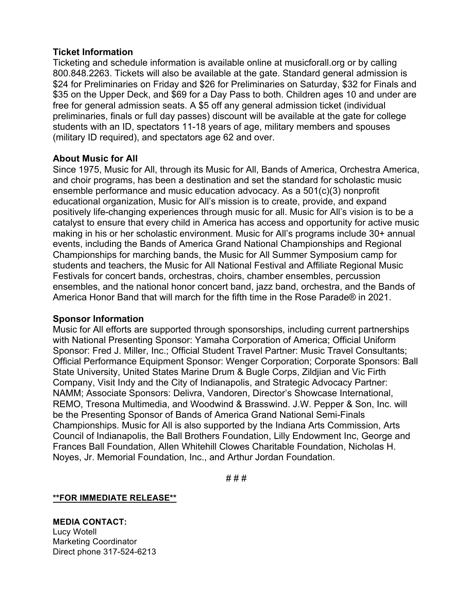#### **Ticket Information**

Ticketing and schedule information is available online at musicforall.org or by calling 800.848.2263. Tickets will also be available at the gate. Standard general admission is \$24 for Preliminaries on Friday and \$26 for Preliminaries on Saturday, \$32 for Finals and \$35 on the Upper Deck, and \$69 for a Day Pass to both. Children ages 10 and under are free for general admission seats. A \$5 off any general admission ticket (individual preliminaries, finals or full day passes) discount will be available at the gate for college students with an ID, spectators 11-18 years of age, military members and spouses (military ID required), and spectators age 62 and over.

#### **About Music for All**

Since 1975, Music for All, through its Music for All, Bands of America, Orchestra America, and choir programs, has been a destination and set the standard for scholastic music ensemble performance and music education advocacy. As a 501(c)(3) nonprofit educational organization, Music for All's mission is to create, provide, and expand positively life-changing experiences through music for all. Music for All's vision is to be a catalyst to ensure that every child in America has access and opportunity for active music making in his or her scholastic environment. Music for All's programs include 30+ annual events, including the Bands of America Grand National Championships and Regional Championships for marching bands, the Music for All Summer Symposium camp for students and teachers, the Music for All National Festival and Affiliate Regional Music Festivals for concert bands, orchestras, choirs, chamber ensembles, percussion ensembles, and the national honor concert band, jazz band, orchestra, and the Bands of America Honor Band that will march for the fifth time in the Rose Parade® in 2021.

#### **Sponsor Information**

Music for All efforts are supported through sponsorships, including current partnerships with National Presenting Sponsor: Yamaha Corporation of America; Official Uniform Sponsor: Fred J. Miller, Inc.; Official Student Travel Partner: Music Travel Consultants; Official Performance Equipment Sponsor: Wenger Corporation; Corporate Sponsors: Ball State University, United States Marine Drum & Bugle Corps, Zildjian and Vic Firth Company, Visit Indy and the City of Indianapolis, and Strategic Advocacy Partner: NAMM; Associate Sponsors: Delivra, Vandoren, Director's Showcase International, REMO, Tresona Multimedia, and Woodwind & Brasswind. J.W. Pepper & Son, Inc. will be the Presenting Sponsor of Bands of America Grand National Semi-Finals Championships. Music for All is also supported by the Indiana Arts Commission, Arts Council of Indianapolis, the Ball Brothers Foundation, Lilly Endowment Inc, George and Frances Ball Foundation, Allen Whitehill Clowes Charitable Foundation, Nicholas H. Noyes, Jr. Memorial Foundation, Inc., and Arthur Jordan Foundation.

# # #

**\*\*FOR IMMEDIATE RELEASE\*\***

**MEDIA CONTACT:** Lucy Wotell Marketing Coordinator Direct phone 317-524-6213